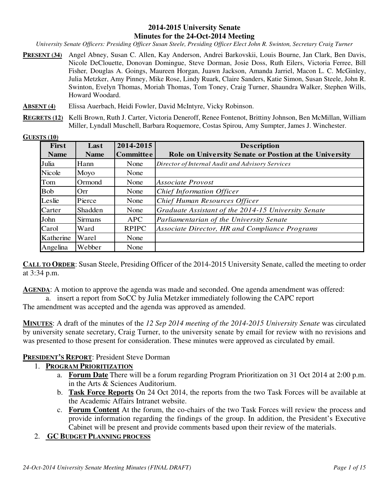#### **2014-2015 University Senate Minutes for the 24-Oct-2014 Meeting**

*University Senate Officers: Presiding Officer Susan Steele, Presiding Officer Elect John R. Swinton, Secretary Craig Turner* 

- **PRESENT (34)** Angel Abney, Susan C. Allen, Kay Anderson, Andrei Barkovskii, Louis Bourne, Jan Clark, Ben Davis, Nicole DeClouette, Donovan Domingue, Steve Dorman, Josie Doss, Ruth Eilers, Victoria Ferree, Bill Fisher*,* Douglas A. Goings, Maureen Horgan, Juawn Jackson, Amanda Jarriel, Macon L. C. McGinley, Julia Metzker, Amy Pinney, Mike Rose, Lindy Ruark, Claire Sanders, Katie Simon, Susan Steele, John R. Swinton, Evelyn Thomas, Moriah Thomas, Tom Toney, Craig Turner, Shaundra Walker, Stephen Wills, Howard Woodard.
- **ABSENT (4)** Elissa Auerbach, Heidi Fowler, David McIntyre, Vicky Robinson.
- **REGRETS (12)** Kelli Brown, Ruth J. Carter, Victoria Deneroff, Renee Fontenot, Brittiny Johnson, Ben McMillan, William Miller, Lyndall Muschell, Barbara Roquemore, Costas Spirou, Amy Sumpter, James J. Winchester.

| GUESTS (10) |  |
|-------------|--|
|             |  |

| First       | Last           | 2014-2015        | <b>Description</b>                                     |
|-------------|----------------|------------------|--------------------------------------------------------|
| <b>Name</b> | <b>Name</b>    | <b>Committee</b> | Role on University Senate or Postion at the University |
| Julia       | Hann           | None             | Director of Internal Audit and Advisory Services       |
| Nicole      | Moyo           | None             |                                                        |
| Tom         | Ormond         | None             | Associate Provost                                      |
| <b>Bob</b>  | Orr            | None             | <b>Chief Information Officer</b>                       |
| Leslie      | Pierce         | None             | Chief Human Resources Officer                          |
| Carter      | Shadden        | None             | Graduate Assistant of the 2014-15 University Senate    |
| John        | <b>Sirmans</b> | <b>APC</b>       | Parliamentarian of the University Senate               |
| Carol       | Ward           | <b>RPIPC</b>     | Associate Director, HR and Compliance Programs         |
| Katherine   | Warel          | None             |                                                        |
| Angelina    | Webber         | None             |                                                        |

**CALL TO ORDER**: Susan Steele, Presiding Officer of the 2014-2015 University Senate, called the meeting to order at 3:34 p.m.

**AGENDA**: A motion to approve the agenda was made and seconded. One agenda amendment was offered:

a. insert a report from SoCC by Julia Metzker immediately following the CAPC report The amendment was accepted and the agenda was approved as amended.

**MINUTES**: A draft of the minutes of the *12 Sep 2014 meeting of the 2014-2015 University Senate* was circulated by university senate secretary, Craig Turner, to the university senate by email for review with no revisions and was presented to those present for consideration. These minutes were approved as circulated by email.

#### **PRESIDENT'S REPORT**: President Steve Dorman

#### 1. **PROGRAM PRIORITIZATION**

- a. **Forum Date** There will be a forum regarding Program Prioritization on 31 Oct 2014 at 2:00 p.m. in the Arts & Sciences Auditorium.
- b. **Task Force Reports** On 24 Oct 2014, the reports from the two Task Forces will be available at the Academic Affairs Intranet website.
- c. **Forum Content** At the forum, the co-chairs of the two Task Forces will review the process and provide information regarding the findings of the group. In addition, the President's Executive Cabinet will be present and provide comments based upon their review of the materials.

#### 2. **GC BUDGET PLANNING PROCESS**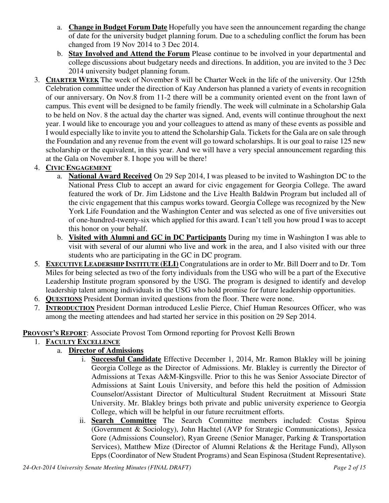- a. **Change in Budget Forum Date** Hopefully you have seen the announcement regarding the change of date for the university budget planning forum. Due to a scheduling conflict the forum has been changed from 19 Nov 2014 to 3 Dec 2014.
- b. **Stay Involved and Attend the Forum** Please continue to be involved in your departmental and college discussions about budgetary needs and directions. In addition, you are invited to the 3 Dec 2014 university budget planning forum.
- 3. **CHARTER WEEK** The week of November 8 will be Charter Week in the life of the university. Our 125th Celebration committee under the direction of Kay Anderson has planned a variety of events in recognition of our anniversary. On Nov.8 from 11-2 there will be a community oriented event on the front lawn of campus. This event will be designed to be family friendly. The week will culminate in a Scholarship Gala to be held on Nov. 8 the actual day the charter was signed. And, events will continue throughout the next year. I would like to encourage you and your colleagues to attend as many of these events as possible and I would especially like to invite you to attend the Scholarship Gala. Tickets for the Gala are on sale through the Foundation and any revenue from the event will go toward scholarships. It is our goal to raise 125 new scholarship or the equivalent, in this year. And we will have a very special announcement regarding this at the Gala on November 8. I hope you will be there!

# 4. **CIVIC ENGAGEMENT**

- a. **National Award Received** On 29 Sep 2014, I was pleased to be invited to Washington DC to the National Press Club to accept an award for civic engagement for Georgia College. The award featured the work of Dr. Jim Lidstone and the Live Health Baldwin Program but included all of the civic engagement that this campus works toward. Georgia College was recognized by the New York Life Foundation and the Washington Center and was selected as one of five universities out of one-hundred-twenty-six which applied for this award. I can't tell you how proud I was to accept this honor on your behalf.
- b. **Visited with Alumni and GC in DC Participants** During my time in Washington I was able to visit with several of our alumni who live and work in the area, and I also visited with our three students who are participating in the GC in DC program.
- 5. **EXECUTIVE LEADERSHIP INSTITUTE (ELI)** Congratulations are in order to Mr. Bill Doerr and to Dr. Tom Miles for being selected as two of the forty individuals from the USG who will be a part of the Executive Leadership Institute program sponsored by the USG. The program is designed to identify and develop leadership talent among individuals in the USG who hold promise for future leadership opportunities.
- 6. **QUESTIONS** President Dorman invited questions from the floor. There were none.
- 7. **INTRODUCTION** President Dorman introduced Leslie Pierce, Chief Human Resources Officer, who was among the meeting attendees and had started her service in this position on 29 Sep 2014.

#### **PROVOST'S REPORT**: Associate Provost Tom Ormond reporting for Provost Kelli Brown

1. **FACULTY EXCELLENCE**

## a. **Director of Admissions**

- i. **Successful Candidate** Effective December 1, 2014, Mr. Ramon Blakley will be joining Georgia College as the Director of Admissions. Mr. Blakley is currently the Director of Admissions at Texas A&M-Kingsville. Prior to this he was Senior Associate Director of Admissions at Saint Louis University, and before this held the position of Admission Counselor/Assistant Director of Multicultural Student Recruitment at Missouri State University. Mr. Blakley brings both private and public university experience to Georgia College, which will be helpful in our future recruitment efforts.
- ii. **Search Committee** The Search Committee members included: Costas Spirou (Government & Sociology), John Hachtel (AVP for Strategic Communications), Jessica Gore (Admissions Counselor), Ryan Greene (Senior Manager, Parking & Transportation Services), Matthew Mize (Director of Alumni Relations & the Heritage Fund), Allyson Epps (Coordinator of New Student Programs) and Sean Espinosa (Student Representative).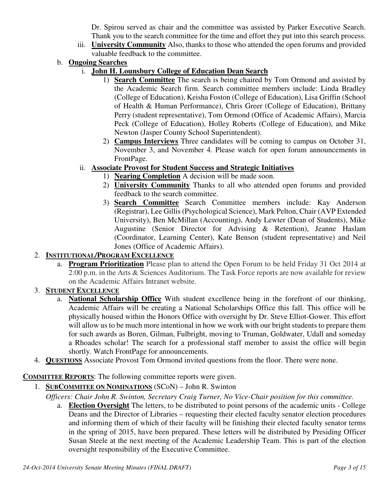Dr. Spirou served as chair and the committee was assisted by Parker Executive Search. Thank you to the search committee for the time and effort they put into this search process.

- iii. **University Community** Also, thanks to those who attended the open forums and provided valuable feedback to the committee.
- b. **Ongoing Searches**
	- i. **John H. Lounsbury College of Education Dean Search**
		- 1) **Search Committee** The search is being chaired by Tom Ormond and assisted by the Academic Search firm. Search committee members include: Linda Bradley (College of Education), Keisha Foston (College of Education), Lisa Griffin (School of Health & Human Performance), Chris Greer (College of Education), Brittany Perry (student representative), Tom Ormond (Office of Academic Affairs), Marcia Peck (College of Education), Holley Roberts (College of Education), and Mike Newton (Jasper County School Superintendent).
		- 2) **Campus Interviews** Three candidates will be coming to campus on October 31, November 3, and November 4. Please watch for open forum announcements in FrontPage.
	- ii. **Associate Provost for Student Success and Strategic Initiatives**
		- 1) **Nearing Completion** A decision will be made soon.
		- 2) **University Community** Thanks to all who attended open forums and provided feedback to the search committee.
		- 3) **Search Committee** Search Committee members include: Kay Anderson (Registrar), Lee Gillis (Psychological Science), Mark Pelton, Chair (AVP Extended University), Ben McMillan (Accounting), Andy Lewter (Dean of Students), Mike Augustine (Senior Director for Advising & Retention), Jeanne Haslam (Coordinator, Learning Center), Kate Benson (student representative) and Neil Jones (Office of Academic Affairs).

# 2. **INSTITUTIONAL/PROGRAM EXCELLENCE**

a. **Program Prioritization** Please plan to attend the Open Forum to be held Friday 31 Oct 2014 at 2:00 p.m. in the Arts & Sciences Auditorium. The Task Force reports are now available for review on the Academic Affairs Intranet website.

## 3. **STUDENT EXCELLENCE**

- a. **National Scholarship Office** With student excellence being in the forefront of our thinking, Academic Affairs will be creating a National Scholarships Office this fall. This office will be physically housed within the Honors Office with oversight by Dr. Steve Elliot-Gower. This effort will allow us to be much more intentional in how we work with our bright students to prepare them for such awards as Boren, Gilman, Fulbright, moving to Truman, Goldwater, Udall and someday a Rhoades scholar! The search for a professional staff member to assist the office will begin shortly. Watch FrontPage for announcements.
- 4. **QUESTIONS** Associate Provost Tom Ormond invited questions from the floor. There were none.

## **COMMITTEE REPORTS**: The following committee reports were given.

- 1. **SUBCOMMITEE ON NOMINATIONS** (SCoN) John R. Swinton
	- *Officers: Chair John R. Swinton, Secretary Craig Turner, No Vice-Chair position for this committee.*
		- a. **Election Oversight** The letters, to be distributed to point persons of the academic units College Deans and the Director of Libraries – requesting their elected faculty senator election procedures and informing them of which of their faculty will be finishing their elected faculty senator terms in the spring of 2015, have been prepared. These letters will be distributed by Presiding Officer Susan Steele at the next meeting of the Academic Leadership Team. This is part of the election oversight responsibility of the Executive Committee.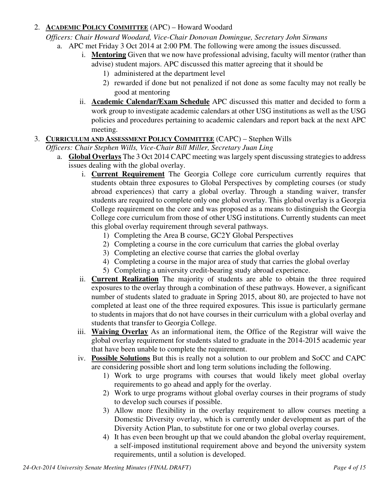## 2. **ACADEMIC POLICY COMMITTEE** (APC) – Howard Woodard

*Officers: Chair Howard Woodard, Vice-Chair Donovan Domingue, Secretary John Sirmans*

- a. APC met Friday 3 Oct 2014 at 2:00 PM. The following were among the issues discussed.
	- i. **Mentoring** Given that we now have professional advising, faculty will mentor (rather than advise) student majors. APC discussed this matter agreeing that it should be
		- 1) administered at the department level
		- 2) rewarded if done but not penalized if not done as some faculty may not really be good at mentoring
	- ii. **Academic Calendar/Exam Schedule** APC discussed this matter and decided to form a work group to investigate academic calendars at other USG institutions as well as the USG policies and procedures pertaining to academic calendars and report back at the next APC meeting.

#### 3. **CURRICULUM AND ASSESSMENT POLICY COMMITTEE** (CAPC) – Stephen Wills

*Officers: Chair Stephen Wills, Vice-Chair Bill Miller, Secretary Juan Ling*

- a. **Global Overlays** The 3 Oct 2014 CAPC meeting was largely spent discussing strategies to address issues dealing with the global overlay.
	- i. **Current Requirement** The Georgia College core curriculum currently requires that students obtain three exposures to Global Perspectives by completing courses (or study abroad experiences) that carry a global overlay. Through a standing waiver, transfer students are required to complete only one global overlay. This global overlay is a Georgia College requirement on the core and was proposed as a means to distinguish the Georgia College core curriculum from those of other USG institutions. Currently students can meet this global overlay requirement through several pathways.
		- 1) Completing the Area B course, GC2Y Global Perspectives
		- 2) Completing a course in the core curriculum that carries the global overlay
		- 3) Completing an elective course that carries the global overlay
		- 4) Completing a course in the major area of study that carries the global overlay
		- 5) Completing a university credit-bearing study abroad experience.
	- ii. **Current Realization** The majority of students are able to obtain the three required exposures to the overlay through a combination of these pathways. However, a significant number of students slated to graduate in Spring 2015, about 80, are projected to have not completed at least one of the three required exposures. This issue is particularly germane to students in majors that do not have courses in their curriculum with a global overlay and students that transfer to Georgia College.
	- iii. **Waiving Overlay** As an informational item, the Office of the Registrar will waive the global overlay requirement for students slated to graduate in the 2014-2015 academic year that have been unable to complete the requirement.
	- iv. **Possible Solutions** But this is really not a solution to our problem and SoCC and CAPC are considering possible short and long term solutions including the following.
		- 1) Work to urge programs with courses that would likely meet global overlay requirements to go ahead and apply for the overlay.
		- 2) Work to urge programs without global overlay courses in their programs of study to develop such courses if possible.
		- 3) Allow more flexibility in the overlay requirement to allow courses meeting a Domestic Diversity overlay, which is currently under development as part of the Diversity Action Plan, to substitute for one or two global overlay courses.
		- 4) It has even been brought up that we could abandon the global overlay requirement, a self-imposed institutional requirement above and beyond the university system requirements, until a solution is developed.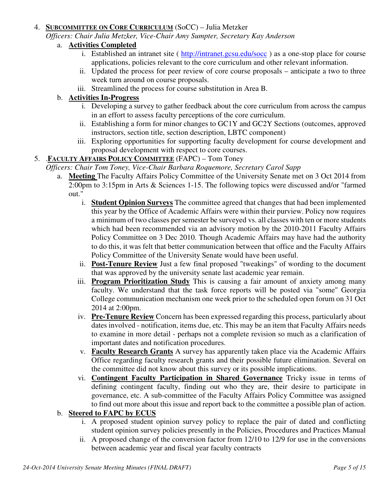#### 4. **SUBCOMMITTEE ON CORE CURRICULUM** (SoCC) – Julia Metzker

*Officers: Chair Julia Metzker, Vice-Chair Amy Sumpter, Secretary Kay Anderson*

## a. **Activities Completed**

- i. Established an intranet site ( http://intranet.gcsu.edu/socc ) as a one-stop place for course applications, policies relevant to the core curriculum and other relevant information.
- ii. Updated the process for peer review of core course proposals anticipate a two to three week turn around on course proposals.
- iii. Streamlined the process for course substitution in Area B.

#### b. **Activities In-Progress**

- i. Developing a survey to gather feedback about the core curriculum from across the campus in an effort to assess faculty perceptions of the core curriculum.
- ii. Establishing a form for minor changes to GC1Y and GC2Y Sections (outcomes, approved instructors, section title, section description, LBTC component)
- iii. Exploring opportunities for supporting faculty development for course development and proposal development with respect to core courses.

#### 5. .**FACULTY AFFAIRS POLICY COMMITTEE** (FAPC) – Tom Toney

- *Officers: Chair Tom Toney, Vice-Chair Barbara Roquemore, Secretary Carol Sapp*
	- a. **Meeting** The Faculty Affairs Policy Committee of the University Senate met on 3 Oct 2014 from 2:00pm to 3:15pm in Arts & Sciences 1-15. The following topics were discussed and/or "farmed out."
		- i. **Student Opinion Surveys** The committee agreed that changes that had been implemented this year by the Office of Academic Affairs were within their purview. Policy now requires a minimum of two classes per semester be surveyed vs. all classes with ten or more students which had been recommended via an advisory motion by the 2010-2011 Faculty Affairs Policy Committee on 3 Dec 2010. Though Academic Affairs may have had the authority to do this, it was felt that better communication between that office and the Faculty Affairs Policy Committee of the University Senate would have been useful.
		- ii. **Post-Tenure Review** Just a few final proposed "tweakings" of wording to the document that was approved by the university senate last academic year remain.
		- iii. **Program Prioritization Study** This is causing a fair amount of anxiety among many faculty. We understand that the task force reports will be posted via "some" Georgia College communication mechanism one week prior to the scheduled open forum on 31 Oct 2014 at 2:00pm.
		- iv. **Pre-Tenure Review** Concern has been expressed regarding this process, particularly about dates involved - notification, items due, etc. This may be an item that Faculty Affairs needs to examine in more detail - perhaps not a complete revision so much as a clarification of important dates and notification procedures.
		- v. **Faculty Research Grants** A survey has apparently taken place via the Academic Affairs Office regarding faculty research grants and their possible future elimination. Several on the committee did not know about this survey or its possible implications.
		- vi. **Contingent Faculty Participation in Shared Governance** Tricky issue in terms of defining contingent faculty, finding out who they are, their desire to participate in governance, etc. A sub-committee of the Faculty Affairs Policy Committee was assigned to find out more about this issue and report back to the committee a possible plan of action.

#### b. **Steered to FAPC by ECUS**

- i. A proposed student opinion survey policy to replace the pair of dated and conflicting student opinion survey policies presently in the Policies, Procedures and Practices Manual
- ii. A proposed change of the conversion factor from 12/10 to 12/9 for use in the conversions between academic year and fiscal year faculty contracts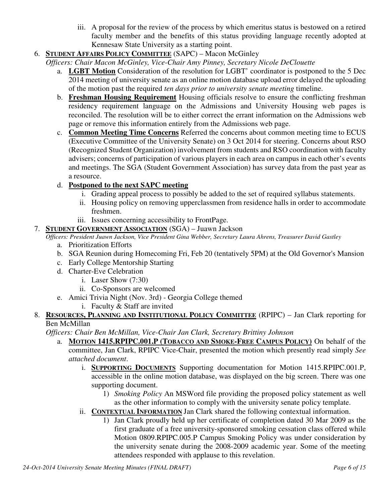- iii. A proposal for the review of the process by which emeritus status is bestowed on a retired faculty member and the benefits of this status providing language recently adopted at Kennesaw State University as a starting point.
- 6. **STUDENT AFFAIRS POLICY COMMITTEE** (SAPC) Macon McGinley
	- *Officers: Chair Macon McGinley, Vice-Chair Amy Pinney, Secretary Nicole DeClouette*
		- a. **LGBT Motion** Consideration of the resolution for LGBT' coordinator is postponed to the 5 Dec 2014 meeting of university senate as an online motion database upload error delayed the uploading of the motion past the required *ten days prior to university senate meeting* timeline.
		- b. **Freshman Housing Requirement** Housing officials resolve to ensure the conflicting freshman residency requirement language on the Admissions and University Housing web pages is reconciled. The resolution will be to either correct the errant information on the Admissions web page or remove this information entirely from the Admissions web page.
		- c. **Common Meeting Time Concerns** Referred the concerns about common meeting time to ECUS (Executive Committee of the University Senate) on 3 Oct 2014 for steering. Concerns about RSO (Recognized Student Organization) involvement from students and RSO coordination with faculty advisers; concerns of participation of various players in each area on campus in each other's events and meetings. The SGA (Student Government Association) has survey data from the past year as a resource.

## d. **Postponed to the next SAPC meeting**

- i. Grading appeal process to possibly be added to the set of required syllabus statements.
- ii. Housing policy on removing upperclassmen from residence halls in order to accommodate freshmen.
- iii. Issues concerning accessibility to FrontPage.
- 7. **STUDENT GOVERNMENT ASSOCIATION** (SGA) Juawn Jackson

*Officers: President Juawn Jackson, Vice President Gina Webber, Secretary Laura Ahrens, Treasurer David Gastley*

- a. Prioritization Efforts
- b. SGA Reunion during Homecoming Fri, Feb 20 (tentatively 5PM) at the Old Governor's Mansion
- c. Early College Mentorship Starting
- d. Charter-Eve Celebration
	- i. Laser Show (7:30)
	- ii. Co-Sponsors are welcomed
- e. Amici Trivia Night (Nov. 3rd) Georgia College themed
	- i. Faculty & Staff are invited
- 8. **RESOURCES, PLANNING AND INSTITUTIONAL POLICY COMMITTEE** (RPIPC) Jan Clark reporting for Ben McMillan

*Officers: Chair Ben McMillan, Vice-Chair Jan Clark, Secretary Brittiny Johnson* 

- a. **MOTION 1415.RPIPC.001.P (TOBACCO AND SMOKE-FREE CAMPUS POLICY)** On behalf of the committee, Jan Clark, RPIPC Vice-Chair, presented the motion which presently read simply *See attached document*.
	- i. **SUPPORTING DOCUMENTS** Supporting documentation for Motion 1415.RPIPC.001.P, accessible in the online motion database, was displayed on the big screen. There was one supporting document.
		- 1) *Smoking Policy* An MSWord file providing the proposed policy statement as well as the other information to comply with the university senate policy template.
	- ii. **CONTEXTUAL INFORMATION** Jan Clark shared the following contextual information.
		- 1) Jan Clark proudly held up her certificate of completion dated 30 Mar 2009 as the first graduate of a free university-sponsored smoking cessation class offered while Motion 0809.RPIPC.005.P Campus Smoking Policy was under consideration by the university senate during the 2008-2009 academic year. Some of the meeting attendees responded with applause to this revelation.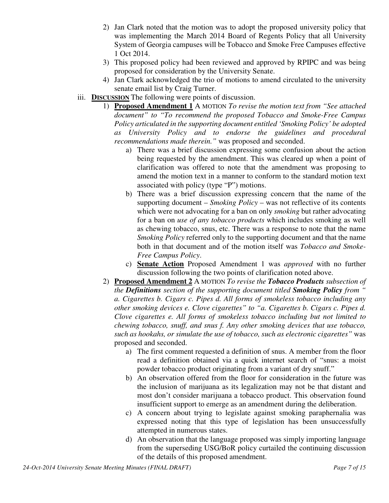- 2) Jan Clark noted that the motion was to adopt the proposed university policy that was implementing the March 2014 Board of Regents Policy that all University System of Georgia campuses will be Tobacco and Smoke Free Campuses effective 1 Oct 2014.
- 3) This proposed policy had been reviewed and approved by RPIPC and was being proposed for consideration by the University Senate.
- 4) Jan Clark acknowledged the trio of motions to amend circulated to the university senate email list by Craig Turner.
- iii. **DISCUSSION** The following were points of discussion.
	- 1) **Proposed Amendment 1** A MOTION *To revise the motion text from "See attached document" to "To recommend the proposed Tobacco and Smoke-Free Campus Policy articulated in the supporting document entitled 'Smoking Policy' be adopted as University Policy and to endorse the guidelines and procedural recommendations made therein."* was proposed and seconded.
		- a) There was a brief discussion expressing some confusion about the action being requested by the amendment. This was cleared up when a point of clarification was offered to note that the amendment was proposing to amend the motion text in a manner to conform to the standard motion text associated with policy (type "P") motions.
		- b) There was a brief discussion expressing concern that the name of the supporting document – *Smoking Policy* – was not reflective of its contents which were not advocating for a ban on only *smoking* but rather advocating for a ban on *use of any tobacco products* which includes smoking as well as chewing tobacco, snus, etc. There was a response to note that the name *Smoking Policy* referred only to the supporting document and that the name both in that document and of the motion itself was *Tobacco and Smoke-Free Campus Policy*.
		- c) **Senate Action** Proposed Amendment 1 was *approved* with no further discussion following the two points of clarification noted above.
	- 2) **Proposed Amendment 2** A MOTION *To revise the Tobacco Products subsection of the Definitions section of the supporting document titled Smoking Policy from " a. Cigarettes b. Cigars c. Pipes d. All forms of smokeless tobacco including any other smoking devices e. Clove cigarettes" to "a. Cigarettes b. Cigars c. Pipes d. Clove cigarettes e. All forms of smokeless tobacco including but not limited to chewing tobacco, snuff, and snus f. Any other smoking devices that use tobacco, such as hookahs, or simulate the use of tobacco, such as electronic cigarettes"* was proposed and seconded.
		- a) The first comment requested a definition of snus. A member from the floor read a definition obtained via a quick internet search of "snus: a moist powder tobacco product originating from a variant of dry snuff."
		- b) An observation offered from the floor for consideration in the future was the inclusion of marijuana as its legalization may not be that distant and most don't consider marijuana a tobacco product. This observation found insufficient support to emerge as an amendment during the deliberation.
		- c) A concern about trying to legislate against smoking paraphernalia was expressed noting that this type of legislation has been unsuccessfully attempted in numerous states.
		- d) An observation that the language proposed was simply importing language from the superseding USG/BoR policy curtailed the continuing discussion of the details of this proposed amendment.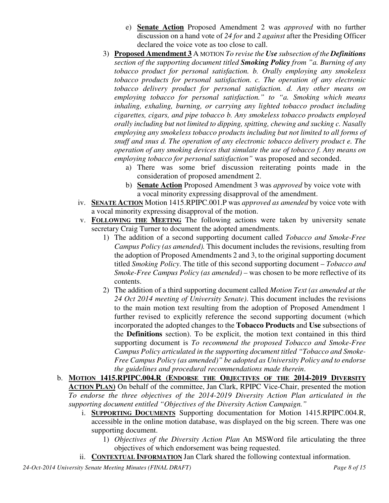- e) **Senate Action** Proposed Amendment 2 was *approved* with no further discussion on a hand vote of *24 for* and *2 against* after the Presiding Officer declared the voice vote as too close to call.
- 3) **Proposed Amendment 3** A MOTION *To revise the Use subsection of the Definitions section of the supporting document titled Smoking Policy from "a. Burning of any tobacco product for personal satisfaction. b. Orally employing any smokeless tobacco products for personal satisfaction. c. The operation of any electronic tobacco delivery product for personal satisfaction. d. Any other means on employing tobacco for personal satisfaction." to "a. Smoking which means inhaling, exhaling, burning, or carrying any lighted tobacco product including cigarettes, cigars, and pipe tobacco b. Any smokeless tobacco products employed orally including but not limited to dipping, spitting, chewing and sucking c. Nasally employing any smokeless tobacco products including but not limited to all forms of snuff and snus d. The operation of any electronic tobacco delivery product e. The operation of any smoking devices that simulate the use of tobacco f. Any means on employing tobacco for personal satisfaction"* was proposed and seconded.
	- a) There was some brief discussion reiterating points made in the consideration of proposed amendment 2.
	- b) **Senate Action** Proposed Amendment 3 was *approved* by voice vote with a vocal minority expressing disapproval of the amendment.
- iv. **SENATE ACTION** Motion 1415.RPIPC.001.P was *approved as amended* by voice vote with a vocal minority expressing disapproval of the motion.
- v. **FOLLOWING THE MEETING** The following actions were taken by university senate secretary Craig Turner to document the adopted amendments.
	- 1) The addition of a second supporting document called *Tobacco and Smoke-Free Campus Policy (as amended).* This document includes the revisions, resulting from the adoption of Proposed Amendments 2 and 3, to the original supporting document titled *Smoking Policy*. The title of this second supporting document – *Tobacco and Smoke-Free Campus Policy (as amended) –* was chosen to be more reflective of its contents.
	- 2) The addition of a third supporting document called *Motion Text (as amended at the 24 Oct 2014 meeting of University Senate)*. This document includes the revisions to the main motion text resulting from the adoption of Proposed Amendment 1 further revised to explicitly reference the second supporting document (which incorporated the adopted changes to the **Tobacco Products** and **Use** subsections of the **Definitions** section). To be explicit, the motion text contained in this third supporting document is *To recommend the proposed Tobacco and Smoke-Free Campus Policy articulated in the supporting document titled "Tobacco and Smoke-Free Campus Policy (as amended)" be adopted as University Policy and to endorse the guidelines and procedural recommendations made therein*.
- b. **MOTION 1415.RPIPC.004.R (ENDORSE THE OBJECTIVES OF THE 2014-2019 DIVERSITY ACTION PLAN)** On behalf of the committee, Jan Clark, RPIPC Vice-Chair, presented the motion *To endorse the three objectives of the 2014-2019 Diversity Action Plan articulated in the supporting document entitled "Objectives of the Diversity Action Campaign."*
	- i. **SUPPORTING DOCUMENTS** Supporting documentation for Motion 1415.RPIPC.004.R, accessible in the online motion database, was displayed on the big screen. There was one supporting document.
		- 1) *Objectives of the Diversity Action Plan* An MSWord file articulating the three objectives of which endorsement was being requested.
	- ii. **CONTEXTUAL INFORMATION** Jan Clark shared the following contextual information.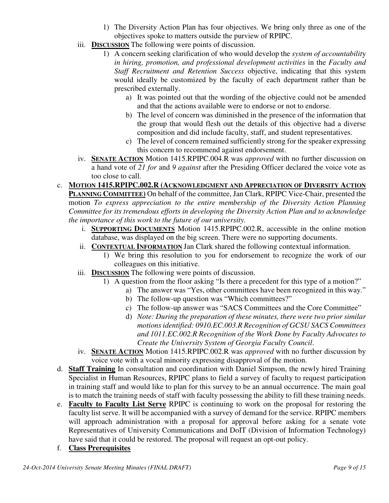- 1) The Diversity Action Plan has four objectives. We bring only three as one of the objectives spoke to matters outside the purview of RPIPC.
- iii. **DISCUSSION** The following were points of discussion.
	- 1) A concern seeking clarification of who would develop the *system of accountabilit*y *in hiring, promotion, and professional development activities* in the *Faculty and Staff Recruitment and Retention Success* objective, indicating that this system would ideally be customized by the faculty of each department rather than be prescribed externally.
		- a) It was pointed out that the wording of the objective could not be amended and that the actions available were to endorse or not to endorse.
		- b) The level of concern was diminished in the presence of the information that the group that would flesh out the details of this objective had a diverse composition and did include faculty, staff, and student representatives.
		- c) The level of concern remained sufficiently strong for the speaker expressing this concern to recommend against endorsement.
- iv. **SENATE ACTION** Motion 1415.RPIPC.004.R was *approved* with no further discussion on a hand vote of *21 for* and *9 against* after the Presiding Officer declared the voice vote as too close to call.

#### c. **MOTION 1415.RPIPC.002.R (ACKNOWLEDGMENT AND APPRECIATION OF DIVERSITY ACTION PLANNING COMMITTEE)** On behalf of the committee, Jan Clark, RPIPC Vice-Chair, presented the

motion *To express appreciation to the entire membership of the Diversity Action Planning Committee for its tremendous efforts in developing the Diversity Action Plan and to acknowledge the importance of this work to the future of our university.*

- i. **SUPPORTING DOCUMENTS** Motion 1415.RPIPC.002.R, accessible in the online motion database, was displayed on the big screen. There were no supporting documents.
- ii. **CONTEXTUAL INFORMATION** Jan Clark shared the following contextual information.
	- 1) We bring this resolution to you for endorsement to recognize the work of our colleagues on this initiative.
- iii. **DISCUSSION** The following were points of discussion.
	- 1) A question from the floor asking "Is there a precedent for this type of a motion?"
		- a) The answer was "Yes, other committees have been recognized in this way."
		- b) The follow-up question was "Which committees?"
		- c) The follow-up answer was "SACS Committees and the Core Committee"
		- d) *Note: During the preparation of these minutes, there were two prior similar motions identified: 0910.EC.003.R Recognition of GCSU SACS Committees and 1011.EC.002.R Recognition of the Work Done by Faculty Advocates to Create the University System of Georgia Faculty Council*.
- iv. **SENATE ACTION** Motion 1415.RPIPC.002.R was *approved* with no further discussion by voice vote with a vocal minority expressing disapproval of the motion.
- d. **Staff Training** In consultation and coordination with Daniel Simpson, the newly hired Training Specialist in Human Resources, RPIPC plans to field a survey of faculty to request participation in training staff and would like to plan for this survey to be an annual occurrence. The main goal is to match the training needs of staff with faculty possessing the ability to fill these training needs.
- e. **Faculty to Faculty List Serve** RPIPC is continuing to work on the proposal for restoring the faculty list serve. It will be accompanied with a survey of demand for the service. RPIPC members will approach administration with a proposal for approval before asking for a senate vote Representatives of University Communications and DoIT (Division of Information Technology) have said that it could be restored. The proposal will request an opt-out policy.
- f. **Class Prerequisites**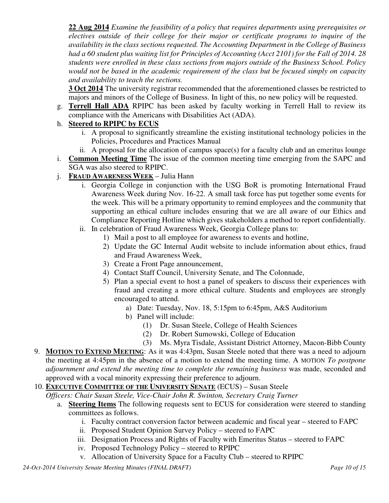**22 Aug 2014** *Examine the feasibility of a policy that requires departments using prerequisites or electives outside of their college for their major or certificate programs to inquire of the availability in the class sections requested. The Accounting Department in the College of Business had a 60 student plus waiting list for Principles of Accounting (Acct 2101) for the Fall of 2014. 28 students were enrolled in these class sections from majors outside of the Business School. Policy would not be based in the academic requirement of the class but be focused simply on capacity and availability to teach the sections.*

**3 Oct 2014** The university registrar recommended that the aforementioned classes be restricted to majors and minors of the College of Business. In light of this, no new policy will be requested.

g. **Terrell Hall ADA** RPIPC has been asked by faculty working in Terrell Hall to review its compliance with the Americans with Disabilities Act (ADA).

## h. **Steered to RPIPC by ECUS**

- i. A proposal to significantly streamline the existing institutional technology policies in the Policies, Procedures and Practices Manual
- ii. A proposal for the allocation of campus space(s) for a faculty club and an emeritus lounge
- i. **Common Meeting Time** The issue of the common meeting time emerging from the SAPC and SGA was also steered to RPIPC.
- j. **FRAUD AWARENESS WEEK** Julia Hann
	- i. Georgia College in conjunction with the USG BoR is promoting International Fraud Awareness Week during Nov. 16-22. A small task force has put together some events for the week. This will be a primary opportunity to remind employees and the community that supporting an ethical culture includes ensuring that we are all aware of our Ethics and Compliance Reporting Hotline which gives stakeholders a method to report confidentially.
	- ii. In celebration of Fraud Awareness Week, Georgia College plans to:
		- 1) Mail a post to all employee for awareness to events and hotline,
		- 2) Update the GC Internal Audit website to include information about ethics, fraud and Fraud Awareness Week,
		- 3) Create a Front Page announcement,
		- 4) Contact Staff Council, University Senate, and The Colonnade,
		- 5) Plan a special event to host a panel of speakers to discuss their experiences with fraud and creating a more ethical culture. Students and employees are strongly encouraged to attend.
			- a) Date: Tuesday, Nov. 18, 5:15pm to 6:45pm, A&S Auditorium
			- b) Panel will include:
				- (1) Dr. Susan Steele, College of Health Sciences
				- (2) Dr. Robert Sumowski, College of Education
				- (3) Ms. Myra Tisdale, Assistant District Attorney, Macon-Bibb County
- 9. **MOTION TO EXTEND MEETING**: As it was 4:43pm, Susan Steele noted that there was a need to adjourn the meeting at 4:45pm in the absence of a motion to extend the meeting time. A MOTION *To postpone adjournment and extend the meeting time to complete the remaining business* was made, seconded and approved with a vocal minority expressing their preference to adjourn.
- 10. **EXECUTIVE COMMITTEE OF THE UNIVERSITY SENATE** (ECUS) Susan Steele

*Officers: Chair Susan Steele, Vice-Chair John R. Swinton, Secretary Craig Turner*

- a. **Steering Items** The following requests sent to ECUS for consideration were steered to standing committees as follows.
	- i. Faculty contract conversion factor between academic and fiscal year steered to FAPC
	- ii. Proposed Student Opinion Survey Policy steered to FAPC
	- iii. Designation Process and Rights of Faculty with Emeritus Status steered to FAPC
	- iv. Proposed Technology Policy steered to RPIPC
	- v. Allocation of University Space for a Faculty Club steered to RPIPC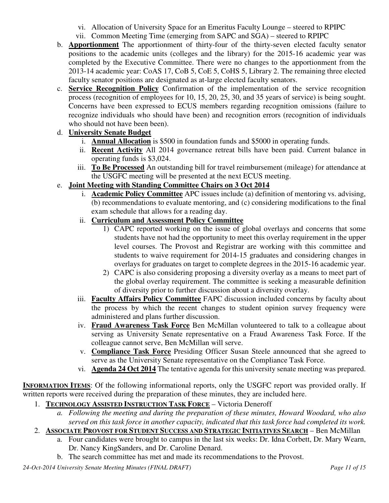- vi. Allocation of University Space for an Emeritus Faculty Lounge steered to RPIPC
- vii. Common Meeting Time (emerging from SAPC and SGA) steered to RPIPC
- b. **Apportionment** The apportionment of thirty-four of the thirty-seven elected faculty senator positions to the academic units (colleges and the library) for the 2015-16 academic year was completed by the Executive Committee. There were no changes to the apportionment from the 2013-14 academic year: CoAS 17, CoB 5, CoE 5, CoHS 5, Library 2. The remaining three elected faculty senator positions are designated as at-large elected faculty senators.
- c. **Service Recognition Policy** Confirmation of the implementation of the service recognition process (recognition of employees for 10, 15, 20, 25, 30, and 35 years of service) is being sought. Concerns have been expressed to ECUS members regarding recognition omissions (failure to recognize individuals who should have been) and recognition errors (recognition of individuals who should not have been been).

## d. **University Senate Budget**

- i. **Annual Allocation** is \$500 in foundation funds and \$5000 in operating funds.
- ii. **Recent Activity** All 2014 governance retreat bills have been paid. Current balance in operating funds is \$3,024.
- iii. **To Be Processed** An outstanding bill for travel reimbursement (mileage) for attendance at the USGFC meeting will be presented at the next ECUS meeting.

## e. **Joint Meeting with Standing Committee Chairs on 3 Oct 2014**

i. **Academic Policy Committee** APC issues include (a) definition of mentoring vs. advising, (b) recommendations to evaluate mentoring, and (c) considering modifications to the final exam schedule that allows for a reading day.

## ii. **Curriculum and Assessment Policy Committee**

- 1) CAPC reported working on the issue of global overlays and concerns that some students have not had the opportunity to meet this overlay requirement in the upper level courses. The Provost and Registrar are working with this committee and students to waive requirement for 2014-15 graduates and considering changes in overlays for graduates on target to complete degrees in the 2015-16 academic year.
- 2) CAPC is also considering proposing a diversity overlay as a means to meet part of the global overlay requirement. The committee is seeking a measurable definition of diversity prior to further discussion about a diversity overlay.
- iii. **Faculty Affairs Policy Committee** FAPC discussion included concerns by faculty about the process by which the recent changes to student opinion survey frequency were administered and plans further discussion.
- iv. **Fraud Awareness Task Force** Ben McMillan volunteered to talk to a colleague about serving as University Senate representative on a Fraud Awareness Task Force. If the colleague cannot serve, Ben McMillan will serve.
- v. **Compliance Task Force** Presiding Officer Susan Steele announced that she agreed to serve as the University Senate representative on the Compliance Task Force.
- vi. **Agenda 24 Oct 2014** The tentative agenda for this university senate meeting was prepared.

**INFORMATION ITEMS:** Of the following informational reports, only the USGFC report was provided orally. If written reports were received during the preparation of these minutes, they are included here.

- 1. **TECHNOLOGY ASSISTED INSTRUCTION TASK FORCE** Victoria Deneroff
	- *a. Following the meeting and during the preparation of these minutes, Howard Woodard, who also served on this task force in another capacity, indicated that this task force had completed its work.*
- 2. **ASSOCIATE PROVOST FOR STUDENT SUCCESS AND STRATEGIC INITIATIVES SEARCH** Ben McMillan
	- a. Four candidates were brought to campus in the last six weeks: Dr. Idna Corbett, Dr. Mary Wearn, Dr. Nancy KingSanders, and Dr. Caroline Denard.
	- b. The search committee has met and made its recommendations to the Provost.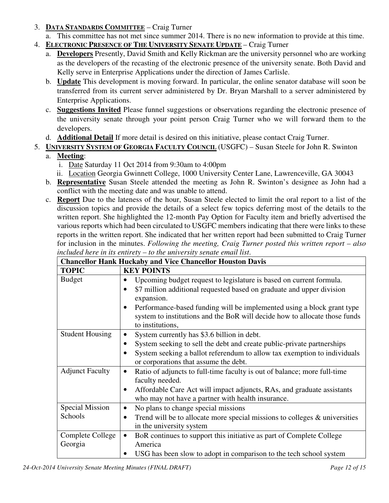- 3. **DATA STANDARDS COMMITTEE** Craig Turner
	- a. This committee has not met since summer 2014. There is no new information to provide at this time.
- 4. **ELECTRONIC PRESENCE OF THE UNIVERSITY SENATE UPDATE** Craig Turner
	- a. **Developers** Presently, David Smith and Kelly Rickman are the university personnel who are working as the developers of the recasting of the electronic presence of the university senate. Both David and Kelly serve in Enterprise Applications under the direction of James Carlisle.
	- b. **Update** This development is moving forward. In particular, the online senator database will soon be transferred from its current server administered by Dr. Bryan Marshall to a server administered by Enterprise Applications.
	- c. **Suggestions Invited** Please funnel suggestions or observations regarding the electronic presence of the university senate through your point person Craig Turner who we will forward them to the developers.
	- d. **Additional Detail** If more detail is desired on this initiative, please contact Craig Turner.
- 5. **UNIVERSITY SYSTEM OF GEORGIA FACULTY COUNCIL** (USGFC) Susan Steele for John R. Swinton
	- a. **Meeting**:
		- i. Date Saturday 11 Oct 2014 from 9:30am to 4:00pm
		- ii. Location Georgia Gwinnett College, 1000 University Center Lane, Lawrenceville, GA 30043
	- b. **Representative** Susan Steele attended the meeting as John R. Swinton's designee as John had a conflict with the meeting date and was unable to attend.
	- c. **Report** Due to the lateness of the hour, Susan Steele elected to limit the oral report to a list of the discussion topics and provide the details of a select few topics deferring most of the details to the written report. She highlighted the 12-month Pay Option for Faculty item and briefly advertised the various reports which had been circulated to USGFC members indicating that there were links to these reports in the written report. She indicated that her written report had been submitted to Craig Turner for inclusion in the minutes. *Following the meeting, Craig Turner posted this written report – also included here in its entirety – to the university senate email list*.

| <b>Chancellor Hank Huckaby and Vice Chancellor Houston Davis</b> |                                                                                       |  |  |  |
|------------------------------------------------------------------|---------------------------------------------------------------------------------------|--|--|--|
| <b>TOPIC</b>                                                     | <b>KEY POINTS</b>                                                                     |  |  |  |
| <b>Budget</b>                                                    | Upcoming budget request to legislature is based on current formula.                   |  |  |  |
|                                                                  | \$7 million additional requested based on graduate and upper division<br>$\bullet$    |  |  |  |
|                                                                  | expansion.                                                                            |  |  |  |
|                                                                  | Performance-based funding will be implemented using a block grant type<br>$\bullet$   |  |  |  |
|                                                                  | system to institutions and the BoR will decide how to allocate those funds            |  |  |  |
|                                                                  | to institutions,                                                                      |  |  |  |
| <b>Student Housing</b>                                           | System currently has \$3.6 billion in debt.<br>$\bullet$                              |  |  |  |
|                                                                  | System seeking to sell the debt and create public-private partnerships                |  |  |  |
|                                                                  | System seeking a ballot referendum to allow tax exemption to individuals<br>$\bullet$ |  |  |  |
|                                                                  | or corporations that assume the debt.                                                 |  |  |  |
| <b>Adjunct Faculty</b>                                           | Ratio of adjuncts to full-time faculty is out of balance; more full-time<br>$\bullet$ |  |  |  |
|                                                                  | faculty needed.                                                                       |  |  |  |
|                                                                  | Affordable Care Act will impact adjuncts, RAs, and graduate assistants                |  |  |  |
|                                                                  | who may not have a partner with health insurance.                                     |  |  |  |
| <b>Special Mission</b>                                           | No plans to change special missions<br>$\bullet$                                      |  |  |  |
| Schools                                                          | Trend will be to allocate more special missions to colleges $\&$ universities         |  |  |  |
|                                                                  | in the university system                                                              |  |  |  |
| Complete College                                                 | BoR continues to support this initiative as part of Complete College<br>$\bullet$     |  |  |  |
| Georgia                                                          | America                                                                               |  |  |  |
|                                                                  | USG has been slow to adopt in comparison to the tech school system<br>$\bullet$       |  |  |  |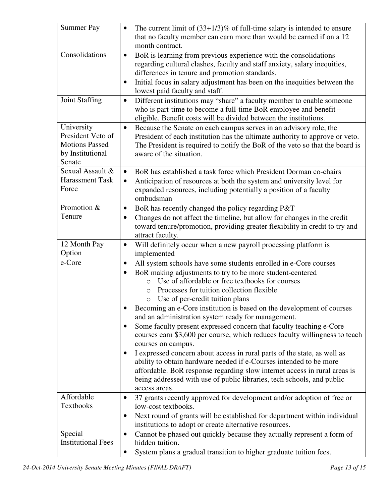| <b>Summer Pay</b>                                                                      | The current limit of $(33+1/3)\%$ of full-time salary is intended to ensure<br>$\bullet$<br>that no faculty member can earn more than would be earned if on a 12<br>month contract.                                                                                                                                                                                                                                                                                                                                                                                                                                                                                                                                                                                                                                                                                                                                                                                      |
|----------------------------------------------------------------------------------------|--------------------------------------------------------------------------------------------------------------------------------------------------------------------------------------------------------------------------------------------------------------------------------------------------------------------------------------------------------------------------------------------------------------------------------------------------------------------------------------------------------------------------------------------------------------------------------------------------------------------------------------------------------------------------------------------------------------------------------------------------------------------------------------------------------------------------------------------------------------------------------------------------------------------------------------------------------------------------|
| Consolidations                                                                         | BoR is learning from previous experience with the consolidations<br>$\bullet$<br>regarding cultural clashes, faculty and staff anxiety, salary inequities,<br>differences in tenure and promotion standards.<br>Initial focus in salary adjustment has been on the inequities between the<br>$\bullet$<br>lowest paid faculty and staff.                                                                                                                                                                                                                                                                                                                                                                                                                                                                                                                                                                                                                                 |
| <b>Joint Staffing</b>                                                                  | Different institutions may "share" a faculty member to enable someone<br>$\bullet$<br>who is part-time to become a full-time BoR employee and benefit –<br>eligible. Benefit costs will be divided between the institutions.                                                                                                                                                                                                                                                                                                                                                                                                                                                                                                                                                                                                                                                                                                                                             |
| University<br>President Veto of<br><b>Motions Passed</b><br>by Institutional<br>Senate | Because the Senate on each campus serves in an advisory role, the<br>$\bullet$<br>President of each institution has the ultimate authority to approve or veto.<br>The President is required to notify the BoR of the veto so that the board is<br>aware of the situation.                                                                                                                                                                                                                                                                                                                                                                                                                                                                                                                                                                                                                                                                                                |
| Sexual Assault &<br>Harassment Task<br>Force                                           | BoR has established a task force which President Dorman co-chairs<br>$\bullet$<br>Anticipation of resources at both the system and university level for<br>$\bullet$<br>expanded resources, including potentially a position of a faculty<br>ombudsman                                                                                                                                                                                                                                                                                                                                                                                                                                                                                                                                                                                                                                                                                                                   |
| Promotion &<br>Tenure                                                                  | BoR has recently changed the policy regarding P&T<br>$\bullet$<br>Changes do not affect the timeline, but allow for changes in the credit<br>$\bullet$<br>toward tenure/promotion, providing greater flexibility in credit to try and<br>attract faculty.                                                                                                                                                                                                                                                                                                                                                                                                                                                                                                                                                                                                                                                                                                                |
| 12 Month Pay<br>Option                                                                 | Will definitely occur when a new payroll processing platform is<br>$\bullet$<br>implemented                                                                                                                                                                                                                                                                                                                                                                                                                                                                                                                                                                                                                                                                                                                                                                                                                                                                              |
| e-Core                                                                                 | All system schools have some students enrolled in e-Core courses<br>$\bullet$<br>BoR making adjustments to try to be more student-centered<br>$\bullet$<br>Use of affordable or free textbooks for courses<br>$\circ$<br>Processes for tuition collection flexible<br>$\circ$<br>Use of per-credit tuition plans<br>$\bigcirc$<br>Becoming an e-Core institution is based on the development of courses<br>and an administration system ready for management.<br>Some faculty present expressed concern that faculty teaching e-Core<br>٠<br>courses earn \$3,600 per course, which reduces faculty willingness to teach<br>courses on campus.<br>I expressed concern about access in rural parts of the state, as well as<br>ability to obtain hardware needed if e-Courses intended to be more<br>affordable. BoR response regarding slow internet access in rural areas is<br>being addressed with use of public libraries, tech schools, and public<br>access areas. |
| Affordable<br>Textbooks                                                                | 37 grants recently approved for development and/or adoption of free or<br>$\bullet$<br>low-cost textbooks.<br>Next round of grants will be established for department within individual<br>$\bullet$                                                                                                                                                                                                                                                                                                                                                                                                                                                                                                                                                                                                                                                                                                                                                                     |
| Special<br><b>Institutional Fees</b>                                                   | institutions to adopt or create alternative resources.<br>Cannot be phased out quickly because they actually represent a form of<br>$\bullet$<br>hidden tuition.<br>System plans a gradual transition to higher graduate tuition fees.                                                                                                                                                                                                                                                                                                                                                                                                                                                                                                                                                                                                                                                                                                                                   |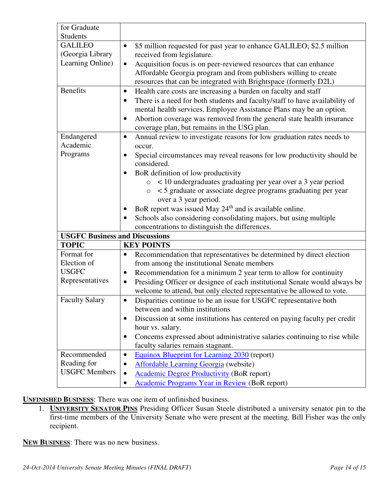| for Graduate                                                       |                                                                                                                                                                                                                                                                                                                                                                                                                                                                                                                                                                                   |
|--------------------------------------------------------------------|-----------------------------------------------------------------------------------------------------------------------------------------------------------------------------------------------------------------------------------------------------------------------------------------------------------------------------------------------------------------------------------------------------------------------------------------------------------------------------------------------------------------------------------------------------------------------------------|
| Students<br><b>GALILEO</b><br>(Georgia Library<br>Learning Online) | \$5 million requested for past year to enhance GALILEO; \$2.5 million<br>$\bullet$<br>received from legislature.<br>Acquisition focus is on peer-reviewed resources that can enhance<br>$\bullet$<br>Affordable Georgia program and from publishers willing to create                                                                                                                                                                                                                                                                                                             |
| <b>Benefits</b>                                                    | resources that can be integrated with Brightspace (formerly D2L)<br>Health care costs are increasing a burden on faculty and staff<br>$\bullet$<br>There is a need for both students and faculty/staff to have availability of<br>$\bullet$<br>mental health services. Employee Assistance Plans may be an option.<br>Abortion coverage was removed from the general state health insurance<br>$\bullet$<br>coverage plan, but remains in the USG plan.                                                                                                                           |
| Endangered<br>Academic<br>Programs                                 | Annual review to investigate reasons for low graduation rates needs to<br>$\bullet$<br>occur.<br>Special circumstances may reveal reasons for low productivity should be<br>$\bullet$<br>considered.<br>BoR definition of low productivity<br>< 10 undergraduates graduating per year over a 3 year period<br>$\circ$<br><5 graduate or associate degree programs graduating per year<br>$\circlearrowright$<br>over a 3 year period.<br>BoR report was issued May 24 <sup>th</sup> and is available online.<br>Schools also considering consolidating majors, but using multiple |
|                                                                    | concentrations to distinguish the differences.                                                                                                                                                                                                                                                                                                                                                                                                                                                                                                                                    |
| <b>USGFC Business and Discussions</b>                              |                                                                                                                                                                                                                                                                                                                                                                                                                                                                                                                                                                                   |
| <b>TOPIC</b>                                                       | <b>KEY POINTS</b>                                                                                                                                                                                                                                                                                                                                                                                                                                                                                                                                                                 |
| Format for<br>Election of                                          | Recommendation that representatives be determined by direct election<br>$\bullet$                                                                                                                                                                                                                                                                                                                                                                                                                                                                                                 |
| <b>USGFC</b>                                                       | from among the institutional Senate members                                                                                                                                                                                                                                                                                                                                                                                                                                                                                                                                       |
| Representatives                                                    | Recommendation for a minimum 2 year term to allow for continuity<br>$\bullet$<br>Presiding Officer or designee of each institutional Senate would always be<br>$\bullet$<br>welcome to attend, but only elected representative be allowed to vote.                                                                                                                                                                                                                                                                                                                                |
| <b>Faculty Salary</b>                                              | Disparities continue to be an issue for USGFC representative both<br>$\bullet$<br>between and within institutions<br>Discussion at some institutions has centered on paying faculty per credit<br>٠<br>hour vs. salary.<br>Concerns expressed about administrative salaries continuing to rise while<br>$\bullet$<br>faculty salaries remain stagnant.                                                                                                                                                                                                                            |
| Recommended                                                        | Equinox Blueprint for Learning 2030 (report)<br>$\bullet$                                                                                                                                                                                                                                                                                                                                                                                                                                                                                                                         |
| Reading for                                                        | Affordable Learning Georgia (website)<br>$\bullet$                                                                                                                                                                                                                                                                                                                                                                                                                                                                                                                                |
| <b>USGFC</b> Members                                               | <b>Academic Degree Productivity (BoR report)</b><br>$\bullet$<br>Academic Programs Year in Review (BoR report)<br>٠                                                                                                                                                                                                                                                                                                                                                                                                                                                               |

**UNFINISHED BUSINESS**: There was one item of unfinished business.

1. **UNIVERSITY SENATOR PINS** Presiding Officer Susan Steele distributed a university senator pin to the first-time members of the University Senate who were present at the meeting. Bill Fisher was the only recipient.

**NEW BUSINESS**: There was no new business.